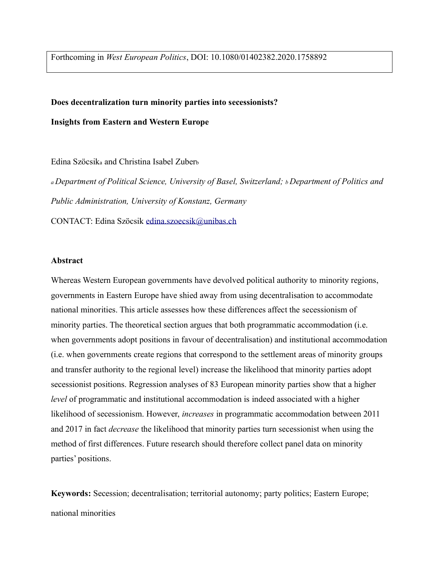Forthcoming in *West European Politics*, DOI: 10.1080/01402382.2020.1758892

#### **Does decentralization turn minority parties into secessionists?**

**Insights from Eastern and Western Europe**

Edina Szöcsik<sup>a</sup> and Christina Isabel Zuber<sup>b</sup>

*<sup>a</sup>Department of Political Science, University of Basel, Switzerland; b Department of Politics and Public Administration, University of Konstanz, Germany* CONTACT: Edina Szöcsik edina.szoecsik@unibas.ch

### **Abstract**

Whereas Western European governments have devolved political authority to minority regions, governments in Eastern Europe have shied away from using decentralisation to accommodate national minorities. This article assesses how these differences affect the secessionism of minority parties. The theoretical section argues that both programmatic accommodation (i.e. when governments adopt positions in favour of decentralisation) and institutional accommodation (i.e. when governments create regions that correspond to the settlement areas of minority groups and transfer authority to the regional level) increase the likelihood that minority parties adopt secessionist positions. Regression analyses of 83 European minority parties show that a higher *level* of programmatic and institutional accommodation is indeed associated with a higher likelihood of secessionism. However, *increases* in programmatic accommodation between 2011 and 2017 in fact *decrease* the likelihood that minority parties turn secessionist when using the method of first differences. Future research should therefore collect panel data on minority parties' positions.

**Keywords:** Secession; decentralisation; territorial autonomy; party politics; Eastern Europe; national minorities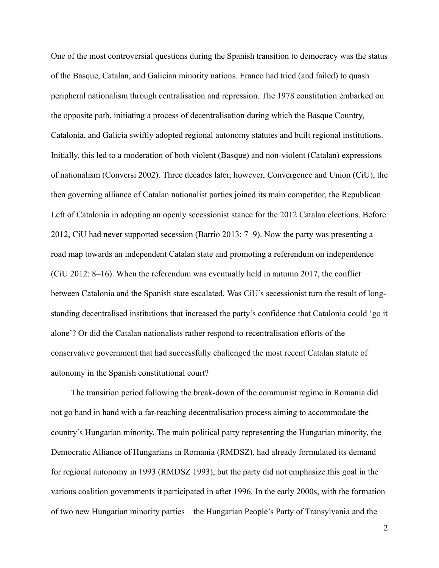One of the most controversial questions during the Spanish transition to democracy was the status of the Basque, Catalan, and Galician minority nations. Franco had tried (and failed) to quash peripheral nationalism through centralisation and repression. The 1978 constitution embarked on the opposite path, initiating a process of decentralisation during which the Basque Country, Catalonia, and Galicia swiftly adopted regional autonomy statutes and built regional institutions. Initially, this led to a moderation of both violent (Basque) and non-violent (Catalan) expressions of nationalism (Conversi 2002). Three decades later, however, Convergence and Union (CiU), the then governing alliance of Catalan nationalist parties joined its main competitor, the Republican Left of Catalonia in adopting an openly secessionist stance for the 2012 Catalan elections. Before 2012, CiU had never supported secession (Barrio 2013: 7–9). Now the party was presenting a road map towards an independent Catalan state and promoting a referendum on independence (CiU 2012: 8–16). When the referendum was eventually held in autumn 2017, the conflict between Catalonia and the Spanish state escalated. Was CiU's secessionist turn the result of longstanding decentralised institutions that increased the party's confidence that Catalonia could 'go it alone'? Or did the Catalan nationalists rather respond to recentralisation efforts of the conservative government that had successfully challenged the most recent Catalan statute of autonomy in the Spanish constitutional court?

The transition period following the break-down of the communist regime in Romania did not go hand in hand with a far-reaching decentralisation process aiming to accommodate the country's Hungarian minority. The main political party representing the Hungarian minority, the Democratic Alliance of Hungarians in Romania (RMDSZ), had already formulated its demand for regional autonomy in 1993 (RMDSZ 1993), but the party did not emphasize this goal in the various coalition governments it participated in after 1996. In the early 2000s, with the formation of two new Hungarian minority parties – the Hungarian People's Party of Transylvania and the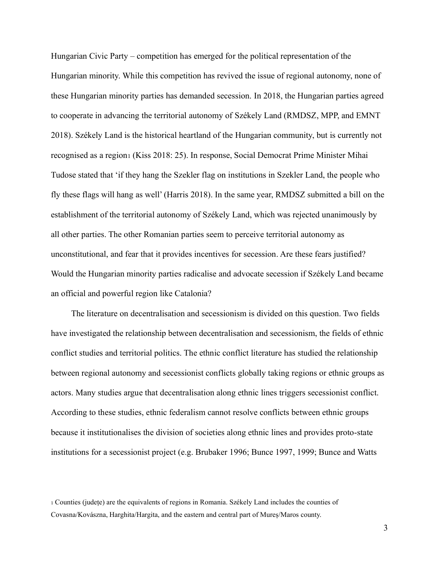Hungarian Civic Party – competition has emerged for the political representation of the Hungarian minority. While this competition has revived the issue of regional autonomy, none of these Hungarian minority parties has demanded secession. In 2018, the Hungarian parties agreed to cooperate in advancing the territorial autonomy of Székely Land (RMDSZ, MPP, and EMNT 2018). Székely Land is the historical heartland of the Hungarian community, but is currently not recognised as a region1 (Kiss 2018: 25). In response, Social Democrat Prime Minister Mihai Tudose stated that 'if they hang the Szekler flag on institutions in Szekler Land, the people who fly these flags will hang as well' (Harris 2018). In the same year, RMDSZ submitted a bill on the establishment of the territorial autonomy of Székely Land, which was rejected unanimously by all other parties. The other Romanian parties seem to perceive territorial autonomy as unconstitutional, and fear that it provides incentives for secession. Are these fears justified? Would the Hungarian minority parties radicalise and advocate secession if Székely Land became an official and powerful region like Catalonia?

The literature on decentralisation and secessionism is divided on this question. Two fields have investigated the relationship between decentralisation and secessionism, the fields of ethnic conflict studies and territorial politics. The ethnic conflict literature has studied the relationship between regional autonomy and secessionist conflicts globally taking regions or ethnic groups as actors. Many studies argue that decentralisation along ethnic lines triggers secessionist conflict. According to these studies, ethnic federalism cannot resolve conflicts between ethnic groups because it institutionalises the division of societies along ethnic lines and provides proto-state institutions for a secessionist project (e.g. Brubaker 1996; Bunce 1997, 1999; Bunce and Watts

<sup>1</sup> Counties (județe) are the equivalents of regions in Romania. Székely Land includes the counties of Covasna/Kovászna, Harghita/Hargita, and the eastern and central part of Mureș/Maros county.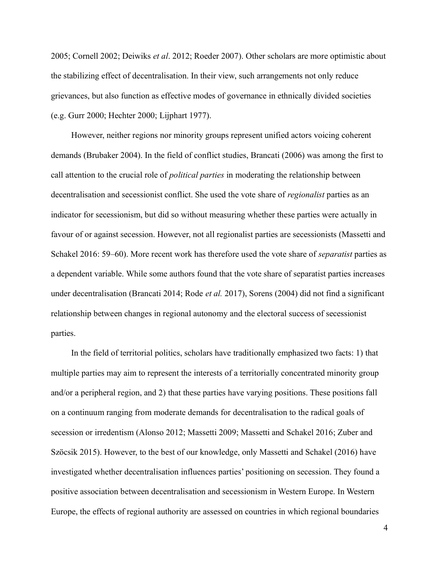2005; Cornell 2002; Deiwiks *et al*. 2012; Roeder 2007). Other scholars are more optimistic about the stabilizing effect of decentralisation. In their view, such arrangements not only reduce grievances, but also function as effective modes of governance in ethnically divided societies (e.g. Gurr 2000; Hechter 2000; Lijphart 1977).

However, neither regions nor minority groups represent unified actors voicing coherent demands (Brubaker 2004). In the field of conflict studies, Brancati (2006) was among the first to call attention to the crucial role of *political parties* in moderating the relationship between decentralisation and secessionist conflict. She used the vote share of *regionalist* parties as an indicator for secessionism, but did so without measuring whether these parties were actually in favour of or against secession. However, not all regionalist parties are secessionists (Massetti and Schakel 2016: 59–60). More recent work has therefore used the vote share of *separatist* parties as a dependent variable. While some authors found that the vote share of separatist parties increases under decentralisation (Brancati 2014; Rode *et al.* 2017), Sorens (2004) did not find a significant relationship between changes in regional autonomy and the electoral success of secessionist parties.

In the field of territorial politics, scholars have traditionally emphasized two facts: 1) that multiple parties may aim to represent the interests of a territorially concentrated minority group and/or a peripheral region, and 2) that these parties have varying positions. These positions fall on a continuum ranging from moderate demands for decentralisation to the radical goals of secession or irredentism (Alonso 2012; Massetti 2009; Massetti and Schakel 2016; Zuber and Szöcsik 2015). However, to the best of our knowledge, only Massetti and Schakel (2016) have investigated whether decentralisation influences parties' positioning on secession. They found a positive association between decentralisation and secessionism in Western Europe. In Western Europe, the effects of regional authority are assessed on countries in which regional boundaries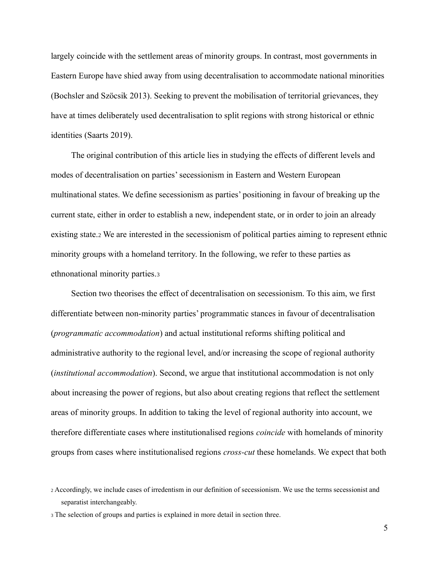largely coincide with the settlement areas of minority groups. In contrast, most governments in Eastern Europe have shied away from using decentralisation to accommodate national minorities (Bochsler and Szöcsik 2013). Seeking to prevent the mobilisation of territorial grievances, they have at times deliberately used decentralisation to split regions with strong historical or ethnic identities (Saarts 2019).

The original contribution of this article lies in studying the effects of different levels and modes of decentralisation on parties' secessionism in Eastern and Western European multinational states. We define secessionism as parties' positioning in favour of breaking up the current state, either in order to establish a new, independent state, or in order to join an already existing state.<sup>2</sup> We are interested in the secessionism of political parties aiming to represent ethnic minority groups with a homeland territory. In the following, we refer to these parties as ethnonational minority parties.<sup>3</sup>

Section two theorises the effect of decentralisation on secessionism. To this aim, we first differentiate between non-minority parties' programmatic stances in favour of decentralisation (*programmatic accommodation*) and actual institutional reforms shifting political and administrative authority to the regional level, and/or increasing the scope of regional authority (*institutional accommodation*). Second, we argue that institutional accommodation is not only about increasing the power of regions, but also about creating regions that reflect the settlement areas of minority groups. In addition to taking the level of regional authority into account, we therefore differentiate cases where institutionalised regions *coincide* with homelands of minority groups from cases where institutionalised regions *cross-cut* these homelands. We expect that both

<sup>2</sup> Accordingly, we include cases of irredentism in our definition of secessionism. We use the terms secessionist and separatist interchangeably.

<sup>3</sup> The selection of groups and parties is explained in more detail in section three.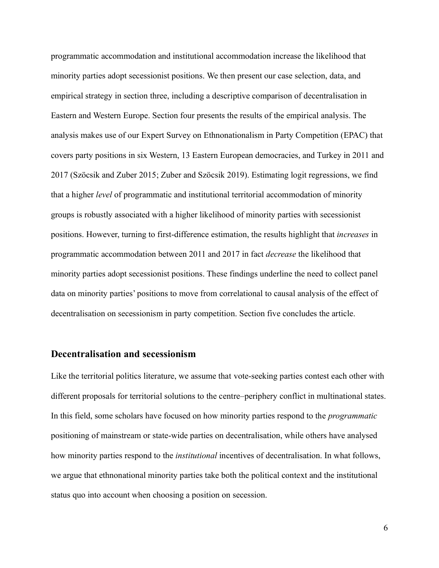programmatic accommodation and institutional accommodation increase the likelihood that minority parties adopt secessionist positions. We then present our case selection, data, and empirical strategy in section three, including a descriptive comparison of decentralisation in Eastern and Western Europe. Section four presents the results of the empirical analysis. The analysis makes use of our Expert Survey on Ethnonationalism in Party Competition (EPAC) that covers party positions in six Western, 13 Eastern European democracies, and Turkey in 2011 and 2017 (Szöcsik and Zuber 2015; Zuber and Szöcsik 2019). Estimating logit regressions, we find that a higher *level* of programmatic and institutional territorial accommodation of minority groups is robustly associated with a higher likelihood of minority parties with secessionist positions. However, turning to first-difference estimation, the results highlight that *increases* in programmatic accommodation between 2011 and 2017 in fact *decrease* the likelihood that minority parties adopt secessionist positions. These findings underline the need to collect panel data on minority parties' positions to move from correlational to causal analysis of the effect of decentralisation on secessionism in party competition. Section five concludes the article.

## **Decentralisation and secessionism**

Like the territorial politics literature, we assume that vote-seeking parties contest each other with different proposals for territorial solutions to the centre–periphery conflict in multinational states. In this field, some scholars have focused on how minority parties respond to the *programmatic* positioning of mainstream or state-wide parties on decentralisation, while others have analysed how minority parties respond to the *institutional* incentives of decentralisation. In what follows, we argue that ethnonational minority parties take both the political context and the institutional status quo into account when choosing a position on secession.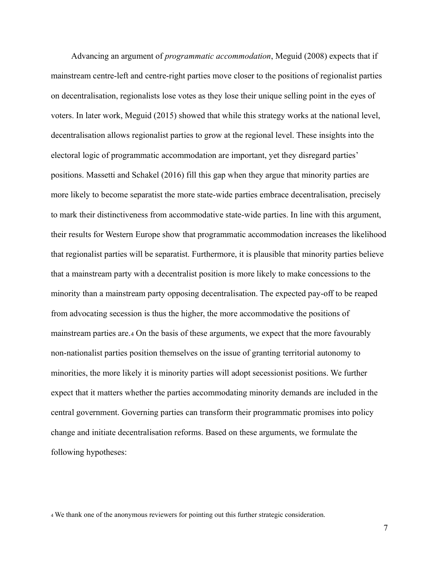Advancing an argument of *programmatic accommodation*, Meguid (2008) expects that if mainstream centre-left and centre-right parties move closer to the positions of regionalist parties on decentralisation, regionalists lose votes as they lose their unique selling point in the eyes of voters. In later work, Meguid (2015) showed that while this strategy works at the national level, decentralisation allows regionalist parties to grow at the regional level. These insights into the electoral logic of programmatic accommodation are important, yet they disregard parties' positions. Massetti and Schakel (2016) fill this gap when they argue that minority parties are more likely to become separatist the more state-wide parties embrace decentralisation, precisely to mark their distinctiveness from accommodative state-wide parties. In line with this argument, their results for Western Europe show that programmatic accommodation increases the likelihood that regionalist parties will be separatist. Furthermore, it is plausible that minority parties believe that a mainstream party with a decentralist position is more likely to make concessions to the minority than a mainstream party opposing decentralisation. The expected pay-off to be reaped from advocating secession is thus the higher, the more accommodative the positions of mainstream parties are.<sup>4</sup> On the basis of these arguments, we expect that the more favourably non-nationalist parties position themselves on the issue of granting territorial autonomy to minorities, the more likely it is minority parties will adopt secessionist positions. We further expect that it matters whether the parties accommodating minority demands are included in the central government. Governing parties can transform their programmatic promises into policy change and initiate decentralisation reforms. Based on these arguments, we formulate the following hypotheses:

<sup>4</sup> We thank one of the anonymous reviewers for pointing out this further strategic consideration.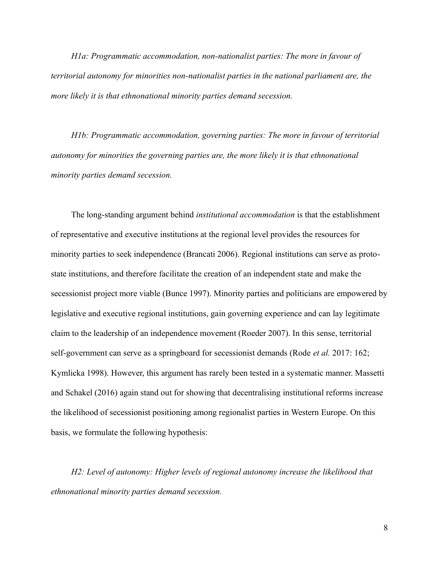*H1a: Programmatic accommodation, non-nationalist parties: The more in favour of territorial autonomy for minorities non-nationalist parties in the national parliament are, the more likely it is that ethnonational minority parties demand secession.*

*H1b: Programmatic accommodation, governing parties: The more in favour of territorial autonomy for minorities the governing parties are, the more likely it is that ethnonational minority parties demand secession.*

The long-standing argument behind *institutional accommodation* is that the establishment of representative and executive institutions at the regional level provides the resources for minority parties to seek independence (Brancati 2006). Regional institutions can serve as protostate institutions, and therefore facilitate the creation of an independent state and make the secessionist project more viable (Bunce 1997). Minority parties and politicians are empowered by legislative and executive regional institutions, gain governing experience and can lay legitimate claim to the leadership of an independence movement (Roeder 2007). In this sense, territorial self-government can serve as a springboard for secessionist demands (Rode *et al.* 2017: 162; Kymlicka 1998). However, this argument has rarely been tested in a systematic manner. Massetti and Schakel (2016) again stand out for showing that decentralising institutional reforms increase the likelihood of secessionist positioning among regionalist parties in Western Europe. On this basis, we formulate the following hypothesis:

*H2: Level of autonomy: Higher levels of regional autonomy increase the likelihood that ethnonational minority parties demand secession.*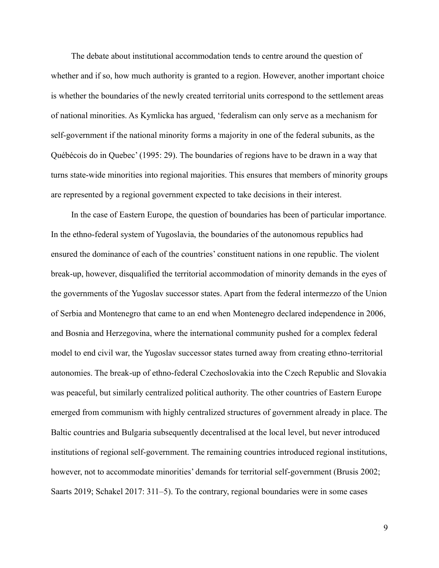The debate about institutional accommodation tends to centre around the question of whether and if so, how much authority is granted to a region. However, another important choice is whether the boundaries of the newly created territorial units correspond to the settlement areas of national minorities. As Kymlicka has argued, 'federalism can only serve as a mechanism for self-government if the national minority forms a majority in one of the federal subunits, as the Québécois do in Quebec' (1995: 29). The boundaries of regions have to be drawn in a way that turns state-wide minorities into regional majorities. This ensures that members of minority groups are represented by a regional government expected to take decisions in their interest.

In the case of Eastern Europe, the question of boundaries has been of particular importance. In the ethno-federal system of Yugoslavia, the boundaries of the autonomous republics had ensured the dominance of each of the countries' constituent nations in one republic. The violent break-up, however, disqualified the territorial accommodation of minority demands in the eyes of the governments of the Yugoslav successor states. Apart from the federal intermezzo of the Union of Serbia and Montenegro that came to an end when Montenegro declared independence in 2006, and Bosnia and Herzegovina, where the international community pushed for a complex federal model to end civil war, the Yugoslav successor states turned away from creating ethno-territorial autonomies. The break-up of ethno-federal Czechoslovakia into the Czech Republic and Slovakia was peaceful, but similarly centralized political authority. The other countries of Eastern Europe emerged from communism with highly centralized structures of government already in place. The Baltic countries and Bulgaria subsequently decentralised at the local level, but never introduced institutions of regional self-government. The remaining countries introduced regional institutions, however, not to accommodate minorities' demands for territorial self-government (Brusis 2002; Saarts 2019; Schakel 2017: 311–5). To the contrary, regional boundaries were in some cases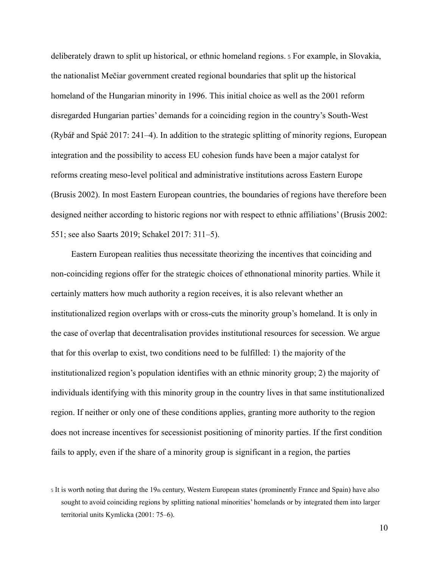deliberately drawn to split up historical, or ethnic homeland regions. <sup>5</sup> For example, in Slovakia, the nationalist Mečiar government created regional boundaries that split up the historical homeland of the Hungarian minority in 1996. This initial choice as well as the 2001 reform disregarded Hungarian parties' demands for a coinciding region in the country's South-West (Rybář and Spáč 2017: 241–4). In addition to the strategic splitting of minority regions, European integration and the possibility to access EU cohesion funds have been a major catalyst for reforms creating meso-level political and administrative institutions across Eastern Europe (Brusis 2002). In most Eastern European countries, the boundaries of regions have therefore been designed neither according to historic regions nor with respect to ethnic affiliations' (Brusis 2002: 551; see also Saarts 2019; Schakel 2017: 311–5).

Eastern European realities thus necessitate theorizing the incentives that coinciding and non-coinciding regions offer for the strategic choices of ethnonational minority parties. While it certainly matters how much authority a region receives, it is also relevant whether an institutionalized region overlaps with or cross-cuts the minority group's homeland. It is only in the case of overlap that decentralisation provides institutional resources for secession. We argue that for this overlap to exist, two conditions need to be fulfilled: 1) the majority of the institutionalized region's population identifies with an ethnic minority group; 2) the majority of individuals identifying with this minority group in the country lives in that same institutionalized region. If neither or only one of these conditions applies, granting more authority to the region does not increase incentives for secessionist positioning of minority parties. If the first condition fails to apply, even if the share of a minority group is significant in a region, the parties

 $5$  It is worth noting that during the 19th century, Western European states (prominently France and Spain) have also sought to avoid coinciding regions by splitting national minorities' homelands or by integrated them into larger territorial units Kymlicka (2001: 75–6).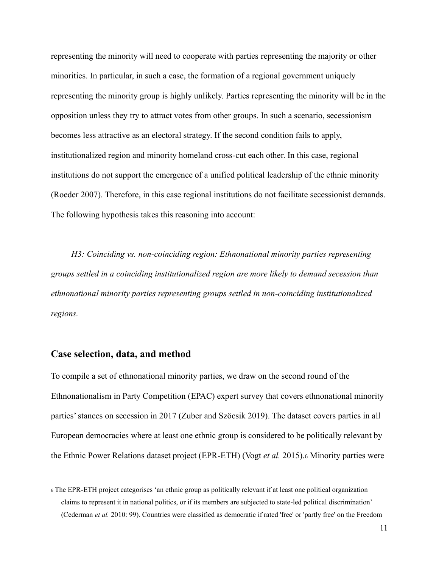representing the minority will need to cooperate with parties representing the majority or other minorities. In particular, in such a case, the formation of a regional government uniquely representing the minority group is highly unlikely. Parties representing the minority will be in the opposition unless they try to attract votes from other groups. In such a scenario, secessionism becomes less attractive as an electoral strategy. If the second condition fails to apply, institutionalized region and minority homeland cross-cut each other. In this case, regional institutions do not support the emergence of a unified political leadership of the ethnic minority (Roeder 2007). Therefore, in this case regional institutions do not facilitate secessionist demands. The following hypothesis takes this reasoning into account:

*H3: Coinciding vs. non-coinciding region: Ethnonational minority parties representing groups settled in a coinciding institutionalized region are more likely to demand secession than ethnonational minority parties representing groups settled in non-coinciding institutionalized regions.* 

### **Case selection, data, and method**

To compile a set of ethnonational minority parties, we draw on the second round of the Ethnonationalism in Party Competition (EPAC) expert survey that covers ethnonational minority parties' stances on secession in 2017 (Zuber and Szöcsik 2019). The dataset covers parties in all European democracies where at least one ethnic group is considered to be politically relevant by the Ethnic Power Relations dataset project (EPR-ETH) (Vogt *et al.* 2015).<sup>6</sup> Minority parties were

<sup>6</sup> The EPR-ETH project categorises 'an ethnic group as politically relevant if at least one political organization claims to represent it in national politics, or if its members are subjected to state-led political discrimination' (Cederman *et al.* 2010: 99). Countries were classified as democratic if rated 'free' or 'partly free' on the Freedom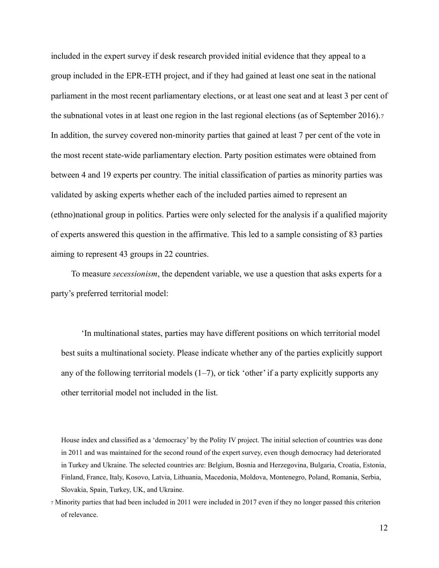included in the expert survey if desk research provided initial evidence that they appeal to a group included in the EPR-ETH project, and if they had gained at least one seat in the national parliament in the most recent parliamentary elections, or at least one seat and at least 3 per cent of the subnational votes in at least one region in the last regional elections (as of September 2016).<sup>7</sup> In addition, the survey covered non-minority parties that gained at least 7 per cent of the vote in the most recent state-wide parliamentary election. Party position estimates were obtained from between 4 and 19 experts per country. The initial classification of parties as minority parties was validated by asking experts whether each of the included parties aimed to represent an (ethno)national group in politics. Parties were only selected for the analysis if a qualified majority of experts answered this question in the affirmative. This led to a sample consisting of 83 parties aiming to represent 43 groups in 22 countries.

To measure *secessionism*, the dependent variable, we use a question that asks experts for a party's preferred territorial model:

'In multinational states, parties may have different positions on which territorial model best suits a multinational society. Please indicate whether any of the parties explicitly support any of the following territorial models  $(1–7)$ , or tick 'other' if a party explicitly supports any other territorial model not included in the list.

House index and classified as a 'democracy' by the Polity IV project. The initial selection of countries was done in 2011 and was maintained for the second round of the expert survey, even though democracy had deteriorated in Turkey and Ukraine. The selected countries are: Belgium, Bosnia and Herzegovina, Bulgaria, Croatia, Estonia, Finland, France, Italy, Kosovo, Latvia, Lithuania, Macedonia, Moldova, Montenegro, Poland, Romania, Serbia, Slovakia, Spain, Turkey, UK, and Ukraine.

<sup>7</sup> Minority parties that had been included in 2011 were included in 2017 even if they no longer passed this criterion of relevance.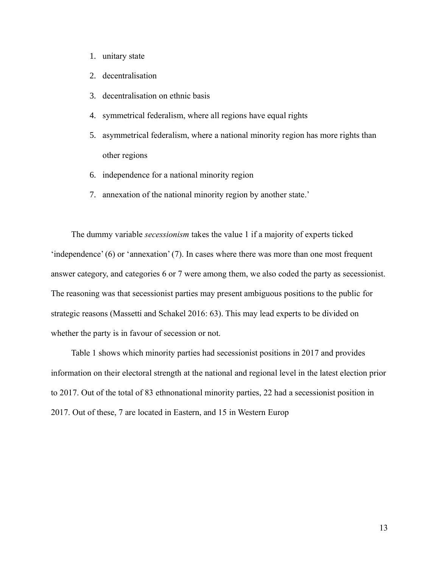- 1. unitary state
- 2. decentralisation
- 3. decentralisation on ethnic basis
- 4. symmetrical federalism, where all regions have equal rights
- 5. asymmetrical federalism, where a national minority region has more rights than other regions
- 6. independence for a national minority region
- 7. annexation of the national minority region by another state.'

The dummy variable *secessionism* takes the value 1 if a majority of experts ticked 'independence' (6) or 'annexation' (7). In cases where there was more than one most frequent answer category, and categories 6 or 7 were among them, we also coded the party as secessionist. The reasoning was that secessionist parties may present ambiguous positions to the public for strategic reasons (Massetti and Schakel 2016: 63). This may lead experts to be divided on whether the party is in favour of secession or not.

Table 1 shows which minority parties had secessionist positions in 2017 and provides information on their electoral strength at the national and regional level in the latest election prior to 2017. Out of the total of 83 ethnonational minority parties, 22 had a secessionist position in 2017. Out of these, 7 are located in Eastern, and 15 in Western Europ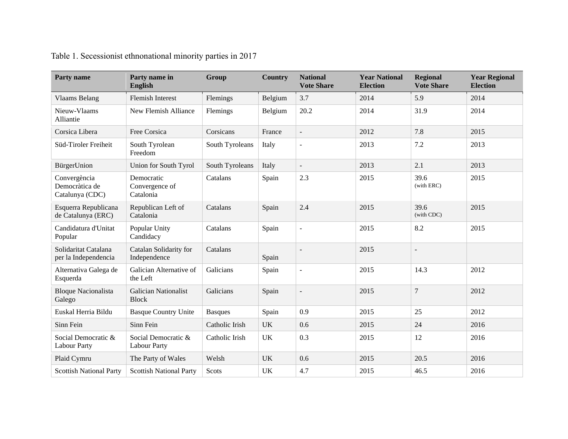| <b>Party name</b>                                 | Party name in<br><b>English</b>            | Group           | <b>Country</b> | <b>National</b><br><b>Vote Share</b> | <b>Year National</b><br><b>Election</b> | <b>Regional</b><br><b>Vote Share</b> | <b>Year Regional</b><br><b>Election</b> |
|---------------------------------------------------|--------------------------------------------|-----------------|----------------|--------------------------------------|-----------------------------------------|--------------------------------------|-----------------------------------------|
| <b>Vlaams Belang</b>                              | <b>Flemish Interest</b>                    | Flemings        | Belgium        | 3.7                                  | 2014                                    | 5.9                                  | 2014                                    |
| Nieuw-Vlaams<br>Alliantie                         | New Flemish Alliance                       | Flemings        | Belgium        | 20.2                                 | 2014                                    | 31.9                                 | 2014                                    |
| Corsica Libera                                    | Free Corsica                               | Corsicans       | France         | $\blacksquare$                       | 2012                                    | 7.8                                  | 2015                                    |
| Süd-Tiroler Freiheit                              | South Tyrolean<br>Freedom                  | South Tyroleans | Italy          | $\overline{a}$                       | 2013                                    | 7.2                                  | 2013                                    |
| BürgerUnion                                       | Union for South Tyrol                      | South Tyroleans | Italy          | $\overline{\phantom{a}}$             | 2013                                    | 2.1                                  | 2013                                    |
| Convergència<br>Democràtica de<br>Catalunya (CDC) | Democratic<br>Convergence of<br>Catalonia  | Catalans        | Spain          | 2.3                                  | 2015                                    | 39.6<br>(with ERC)                   | 2015                                    |
| Esquerra Republicana<br>de Catalunya (ERC)        | Republican Left of<br>Catalonia            | Catalans        | Spain          | 2.4                                  | 2015                                    | 39.6<br>(with CDC)                   | 2015                                    |
| Candidatura d'Unitat<br>Popular                   | Popular Unity<br>Candidacy                 | Catalans        | Spain          | ÷,                                   | 2015                                    | 8.2                                  | 2015                                    |
| Solidaritat Catalana<br>per la Independencia      | Catalan Solidarity for<br>Independence     | Catalans        | Spain          | $\blacksquare$                       | 2015                                    | $\sim$                               |                                         |
| Alternativa Galega de<br>Esquerda                 | Galician Alternative of<br>the Left        | Galicians       | Spain          | $\overline{a}$                       | 2015                                    | 14.3                                 | 2012                                    |
| <b>Bloque Nacionalista</b><br>Galego              | Galician Nationalist<br><b>Block</b>       | Galicians       | Spain          |                                      | 2015                                    | $\overline{7}$                       | 2012                                    |
| Euskal Herria Bildu                               | <b>Basque Country Unite</b>                | <b>Basques</b>  | Spain          | 0.9                                  | 2015                                    | 25                                   | 2012                                    |
| Sinn Fein                                         | Sinn Fein                                  | Catholic Irish  | <b>UK</b>      | 0.6                                  | 2015                                    | 24                                   | 2016                                    |
| Social Democratic &<br><b>Labour Party</b>        | Social Democratic &<br><b>Labour Party</b> | Catholic Irish  | <b>UK</b>      | 0.3                                  | 2015                                    | 12                                   | 2016                                    |
| Plaid Cymru                                       | The Party of Wales                         | Welsh           | <b>UK</b>      | 0.6                                  | 2015                                    | 20.5                                 | 2016                                    |
| <b>Scottish National Party</b>                    | <b>Scottish National Party</b>             | Scots           | UK             | 4.7                                  | 2015                                    | 46.5                                 | 2016                                    |

Table 1. Secessionist ethnonational minority parties in 2017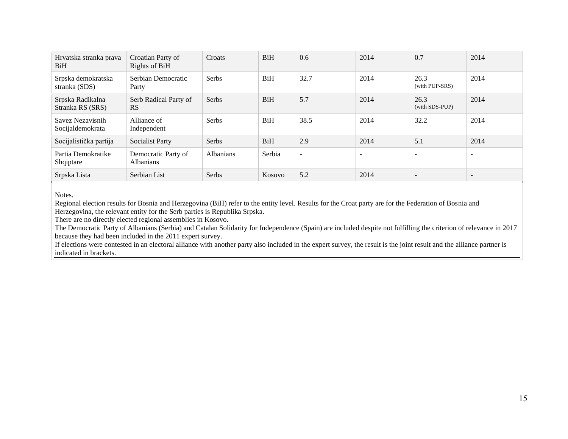| Hrvatska stranka prava<br>BiH        | Croatian Party of<br>Rights of BiH      | Croats           | <b>BiH</b> | 0.6    | 2014                     | 0.7                      | 2014                         |
|--------------------------------------|-----------------------------------------|------------------|------------|--------|--------------------------|--------------------------|------------------------------|
| Srpska demokratska<br>stranka (SDS)  | Serbian Democratic<br>Party             | <b>Serbs</b>     | <b>BiH</b> | 32.7   | 2014                     | 26.3<br>(with PUP-SRS)   | 2014                         |
| Srpska Radikalna<br>Stranka RS (SRS) | Serb Radical Party of<br><b>RS</b>      | Serbs            | <b>BiH</b> | 5.7    | 2014                     | 26.3<br>(with SDS-PUP)   | 2014                         |
| Savez Nezavisnih<br>Socijaldemokrata | Alliance of<br>Independent              | <b>Serbs</b>     | <b>BiH</b> | 38.5   | 2014                     | 32.2                     | 2014                         |
| Socijalistička partija               | <b>Socialist Party</b>                  | Serbs            | <b>BiH</b> | 2.9    | 2014                     | 5.1                      | 2014                         |
| Partia Demokratike<br>Shqiptare      | Democratic Party of<br><b>Albanians</b> | <b>Albanians</b> | Serbia     | $\sim$ | $\overline{\phantom{a}}$ | $\overline{\phantom{a}}$ | $\qquad \qquad \blacksquare$ |
| Srpska Lista                         | Serbian List                            | Serbs            | Kosovo     | 5.2    | 2014                     |                          | $\overline{\phantom{0}}$     |

Notes.

Regional election results for Bosnia and Herzegovina (BiH) refer to the entity level. Results for the Croat party are for the Federation of Bosnia and Herzegovina, the relevant entity for the Serb parties is Republika Srpska.

There are no directly elected regional assemblies in Kosovo.

The Democratic Party of Albanians (Serbia) and Catalan Solidarity for Independence (Spain) are included despite not fulfilling the criterion of relevance in 2017 because they had been included in the 2011 expert survey.

If elections were contested in an electoral alliance with another party also included in the expert survey, the result is the joint result and the alliance partner is indicated in brackets.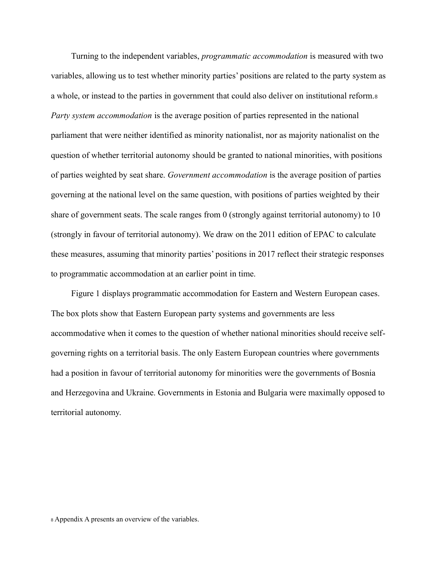Turning to the independent variables, *programmatic accommodation* is measured with two variables, allowing us to test whether minority parties' positions are related to the party system as a whole, or instead to the parties in government that could also deliver on institutional reform.<sup>8</sup> *Party system accommodation* is the average position of parties represented in the national parliament that were neither identified as minority nationalist, nor as majority nationalist on the question of whether territorial autonomy should be granted to national minorities, with positions of parties weighted by seat share. *Government accommodation* is the average position of parties governing at the national level on the same question, with positions of parties weighted by their share of government seats. The scale ranges from 0 (strongly against territorial autonomy) to 10 (strongly in favour of territorial autonomy). We draw on the 2011 edition of EPAC to calculate these measures, assuming that minority parties' positions in 2017 reflect their strategic responses to programmatic accommodation at an earlier point in time.

Figure 1 displays programmatic accommodation for Eastern and Western European cases. The box plots show that Eastern European party systems and governments are less accommodative when it comes to the question of whether national minorities should receive selfgoverning rights on a territorial basis. The only Eastern European countries where governments had a position in favour of territorial autonomy for minorities were the governments of Bosnia and Herzegovina and Ukraine. Governments in Estonia and Bulgaria were maximally opposed to territorial autonomy.

<sup>8</sup> Appendix A presents an overview of the variables.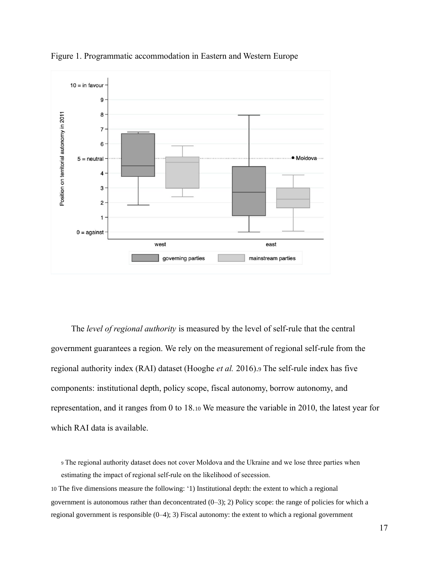

Figure 1. Programmatic accommodation in Eastern and Western Europe

The *level of regional authority* is measured by the level of self-rule that the central government guarantees a region. We rely on the measurement of regional self-rule from the regional authority index (RAI) dataset (Hooghe *et al.* 2016).<sup>9</sup> The self-rule index has five components: institutional depth, policy scope, fiscal autonomy, borrow autonomy, and representation, and it ranges from 0 to 18.<sup>10</sup> We measure the variable in 2010, the latest year for which RAI data is available.

<sup>9</sup> The regional authority dataset does not cover Moldova and the Ukraine and we lose three parties when estimating the impact of regional self-rule on the likelihood of secession.

10 The five dimensions measure the following: '1) Institutional depth: the extent to which a regional government is autonomous rather than deconcentrated (0–3); 2) Policy scope: the range of policies for which a regional government is responsible (0–4); 3) Fiscal autonomy: the extent to which a regional government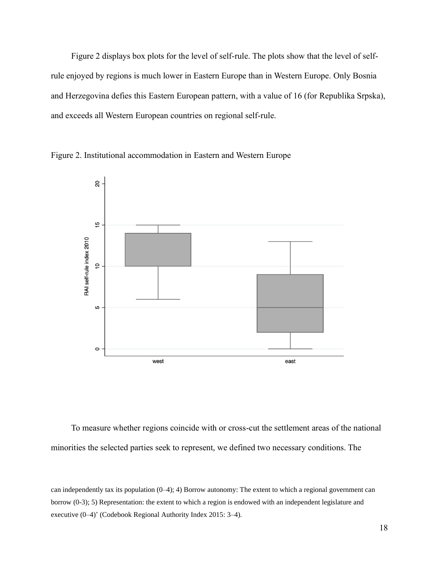Figure 2 displays box plots for the level of self-rule. The plots show that the level of selfrule enjoyed by regions is much lower in Eastern Europe than in Western Europe. Only Bosnia and Herzegovina defies this Eastern European pattern, with a value of 16 (for Republika Srpska), and exceeds all Western European countries on regional self-rule.





To measure whether regions coincide with or cross-cut the settlement areas of the national minorities the selected parties seek to represent, we defined two necessary conditions. The

can independently tax its population (0–4); 4) Borrow autonomy: The extent to which a regional government can borrow (0-3); 5) Representation: the extent to which a region is endowed with an independent legislature and executive (0–4)' (Codebook Regional Authority Index 2015: 3–4).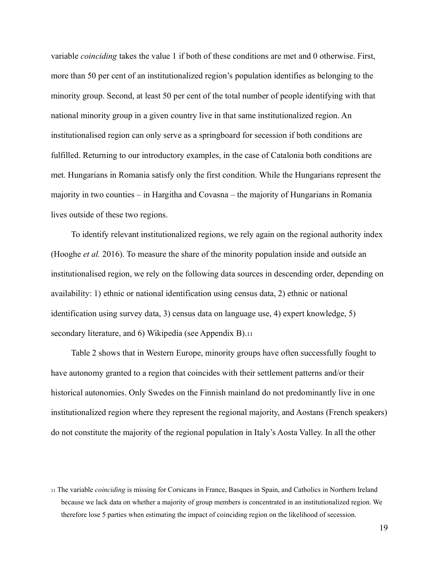variable *coinciding* takes the value 1 if both of these conditions are met and 0 otherwise. First, more than 50 per cent of an institutionalized region's population identifies as belonging to the minority group. Second, at least 50 per cent of the total number of people identifying with that national minority group in a given country live in that same institutionalized region. An institutionalised region can only serve as a springboard for secession if both conditions are fulfilled. Returning to our introductory examples, in the case of Catalonia both conditions are met. Hungarians in Romania satisfy only the first condition. While the Hungarians represent the majority in two counties – in Hargitha and Covasna – the majority of Hungarians in Romania lives outside of these two regions.

To identify relevant institutionalized regions, we rely again on the regional authority index (Hooghe *et al.* 2016). To measure the share of the minority population inside and outside an institutionalised region, we rely on the following data sources in descending order, depending on availability: 1) ethnic or national identification using census data, 2) ethnic or national identification using survey data, 3) census data on language use, 4) expert knowledge, 5) secondary literature, and 6) Wikipedia (see Appendix B).<sup>11</sup>

Table 2 shows that in Western Europe, minority groups have often successfully fought to have autonomy granted to a region that coincides with their settlement patterns and/or their historical autonomies. Only Swedes on the Finnish mainland do not predominantly live in one institutionalized region where they represent the regional majority, and Aostans (French speakers) do not constitute the majority of the regional population in Italy's Aosta Valley. In all the other

<sup>11</sup> The variable *coinciding* is missing for Corsicans in France, Basques in Spain, and Catholics in Northern Ireland because we lack data on whether a majority of group members is concentrated in an institutionalized region. We therefore lose 5 parties when estimating the impact of coinciding region on the likelihood of secession.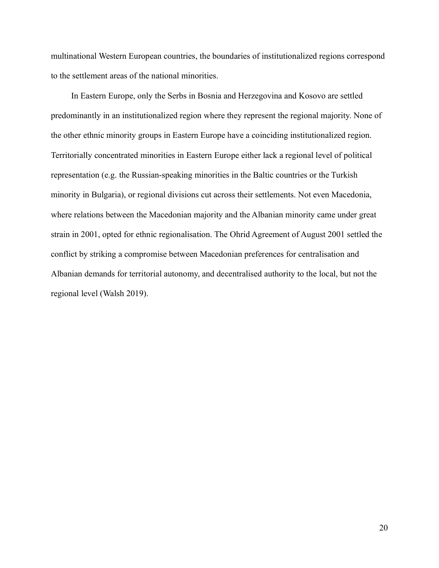multinational Western European countries, the boundaries of institutionalized regions correspond to the settlement areas of the national minorities.

In Eastern Europe, only the Serbs in Bosnia and Herzegovina and Kosovo are settled predominantly in an institutionalized region where they represent the regional majority. None of the other ethnic minority groups in Eastern Europe have a coinciding institutionalized region. Territorially concentrated minorities in Eastern Europe either lack a regional level of political representation (e.g. the Russian-speaking minorities in the Baltic countries or the Turkish minority in Bulgaria), or regional divisions cut across their settlements. Not even Macedonia, where relations between the Macedonian majority and the Albanian minority came under great strain in 2001, opted for ethnic regionalisation. The Ohrid Agreement of August 2001 settled the conflict by striking a compromise between Macedonian preferences for centralisation and Albanian demands for territorial autonomy, and decentralised authority to the local, but not the regional level (Walsh 2019).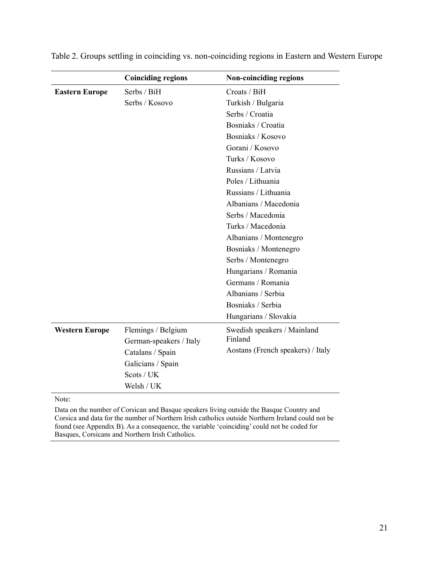|                       | <b>Coinciding regions</b> | <b>Non-coinciding regions</b>     |
|-----------------------|---------------------------|-----------------------------------|
| <b>Eastern Europe</b> | Serbs / BiH               | Croots / BiH                      |
|                       | Serbs / Kosovo            | Turkish / Bulgaria                |
|                       |                           | Serbs / Croatia                   |
|                       |                           | Bosniaks / Croatia                |
|                       |                           | Bosniaks / Kosovo                 |
|                       |                           | Gorani / Kosovo                   |
|                       |                           | Turks / Kosovo                    |
|                       |                           | Russians / Latvia                 |
|                       |                           | Poles / Lithuania                 |
|                       |                           | Russians / Lithuania              |
|                       |                           | Albanians / Macedonia             |
|                       |                           | Serbs / Macedonia                 |
|                       |                           | Turks / Macedonia                 |
|                       |                           | Albanians / Montenegro            |
|                       |                           | Bosniaks / Montenegro             |
|                       |                           | Serbs / Montenegro                |
|                       |                           | Hungarians / Romania              |
|                       |                           | Germans / Romania                 |
|                       |                           | Albanians / Serbia                |
|                       |                           | Bosniaks / Serbia                 |
|                       |                           | Hungarians / Slovakia             |
| <b>Western Europe</b> | Flemings / Belgium        | Swedish speakers / Mainland       |
|                       | German-speakers / Italy   | Finland                           |
|                       | Catalans / Spain          | Aostans (French speakers) / Italy |
|                       | Galicians / Spain         |                                   |
|                       | S <sub>costs</sub> / UK   |                                   |
|                       | Welsh / UK                |                                   |

Table 2. Groups settling in coinciding vs. non-coinciding regions in Eastern and Western Europe

Note:

Data on the number of Corsican and Basque speakers living outside the Basque Country and Corsica and data for the number of Northern Irish catholics outside Northern Ireland could not be found (see Appendix B). As a consequence, the variable 'coinciding' could not be coded for Basques, Corsicans and Northern Irish Catholics.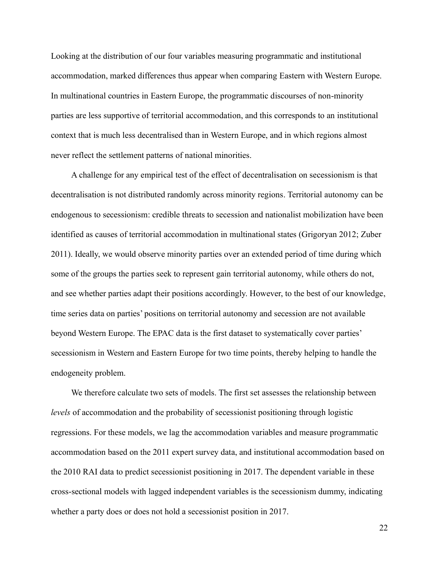Looking at the distribution of our four variables measuring programmatic and institutional accommodation, marked differences thus appear when comparing Eastern with Western Europe. In multinational countries in Eastern Europe, the programmatic discourses of non-minority parties are less supportive of territorial accommodation, and this corresponds to an institutional context that is much less decentralised than in Western Europe, and in which regions almost never reflect the settlement patterns of national minorities.

A challenge for any empirical test of the effect of decentralisation on secessionism is that decentralisation is not distributed randomly across minority regions. Territorial autonomy can be endogenous to secessionism: credible threats to secession and nationalist mobilization have been identified as causes of territorial accommodation in multinational states (Grigoryan 2012; Zuber 2011). Ideally, we would observe minority parties over an extended period of time during which some of the groups the parties seek to represent gain territorial autonomy, while others do not, and see whether parties adapt their positions accordingly. However, to the best of our knowledge, time series data on parties' positions on territorial autonomy and secession are not available beyond Western Europe. The EPAC data is the first dataset to systematically cover parties' secessionism in Western and Eastern Europe for two time points, thereby helping to handle the endogeneity problem.

We therefore calculate two sets of models. The first set assesses the relationship between *levels* of accommodation and the probability of secessionist positioning through logistic regressions. For these models, we lag the accommodation variables and measure programmatic accommodation based on the 2011 expert survey data, and institutional accommodation based on the 2010 RAI data to predict secessionist positioning in 2017. The dependent variable in these cross-sectional models with lagged independent variables is the secessionism dummy, indicating whether a party does or does not hold a secessionist position in 2017.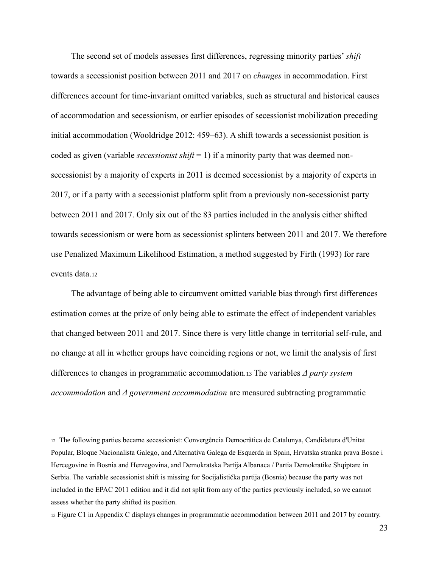The second set of models assesses first differences, regressing minority parties' *shift* towards a secessionist position between 2011 and 2017 on *changes* in accommodation. First differences account for time-invariant omitted variables, such as structural and historical causes of accommodation and secessionism, or earlier episodes of secessionist mobilization preceding initial accommodation (Wooldridge 2012: 459–63). A shift towards a secessionist position is coded as given (variable *secessionist shift* = 1) if a minority party that was deemed nonsecessionist by a majority of experts in 2011 is deemed secessionist by a majority of experts in 2017, or if a party with a secessionist platform split from a previously non-secessionist party between 2011 and 2017. Only six out of the 83 parties included in the analysis either shifted towards secessionism or were born as secessionist splinters between 2011 and 2017. We therefore use Penalized Maximum Likelihood Estimation, a method suggested by Firth (1993) for rare events data.<sup>12</sup>

The advantage of being able to circumvent omitted variable bias through first differences estimation comes at the prize of only being able to estimate the effect of independent variables that changed between 2011 and 2017. Since there is very little change in territorial self-rule, and no change at all in whether groups have coinciding regions or not, we limit the analysis of first differences to changes in programmatic accommodation.<sup>13</sup> The variables *Δ party system accommodation* and *Δ government accommodation* are measured subtracting programmatic

<sup>12</sup> The following parties became secessionist: Convergència Democràtica de Catalunya, Candidatura d'Unitat Popular, Bloque Nacionalista Galego, and Alternativa Galega de Esquerda in Spain, Hrvatska stranka prava Bosne i Hercegovine in Bosnia and Herzegovina, and Demokratska Partija Albanaca / Partia Demokratike Shqiptare in Serbia. The variable secessionist shift is missing for Socijalistička partija (Bosnia) because the party was not included in the EPAC 2011 edition and it did not split from any of the parties previously included, so we cannot assess whether the party shifted its position.

<sup>13</sup> Figure C1 in Appendix C displays changes in programmatic accommodation between 2011 and 2017 by country.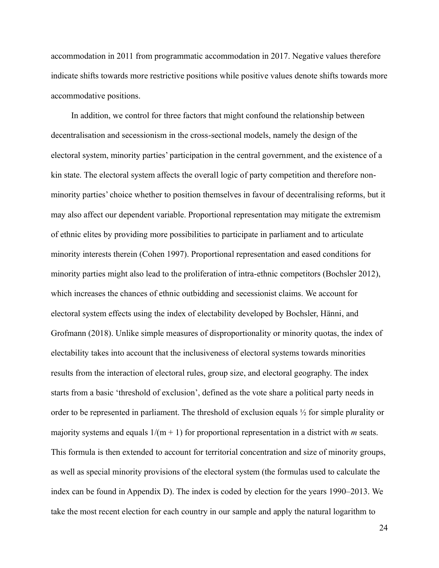accommodation in 2011 from programmatic accommodation in 2017. Negative values therefore indicate shifts towards more restrictive positions while positive values denote shifts towards more accommodative positions.

In addition, we control for three factors that might confound the relationship between decentralisation and secessionism in the cross-sectional models, namely the design of the electoral system, minority parties' participation in the central government, and the existence of a kin state. The electoral system affects the overall logic of party competition and therefore nonminority parties' choice whether to position themselves in favour of decentralising reforms, but it may also affect our dependent variable. Proportional representation may mitigate the extremism of ethnic elites by providing more possibilities to participate in parliament and to articulate minority interests therein (Cohen 1997). Proportional representation and eased conditions for minority parties might also lead to the proliferation of intra-ethnic competitors (Bochsler 2012), which increases the chances of ethnic outbidding and secessionist claims. We account for electoral system effects using the index of electability developed by Bochsler, Hänni, and Grofmann (2018). Unlike simple measures of disproportionality or minority quotas, the index of electability takes into account that the inclusiveness of electoral systems towards minorities results from the interaction of electoral rules, group size, and electoral geography. The index starts from a basic 'threshold of exclusion', defined as the vote share a political party needs in order to be represented in parliament. The threshold of exclusion equals  $\frac{1}{2}$  for simple plurality or majority systems and equals 1/(m + 1) for proportional representation in a district with *m* seats. This formula is then extended to account for territorial concentration and size of minority groups, as well as special minority provisions of the electoral system (the formulas used to calculate the index can be found in Appendix D). The index is coded by election for the years 1990–2013. We take the most recent election for each country in our sample and apply the natural logarithm to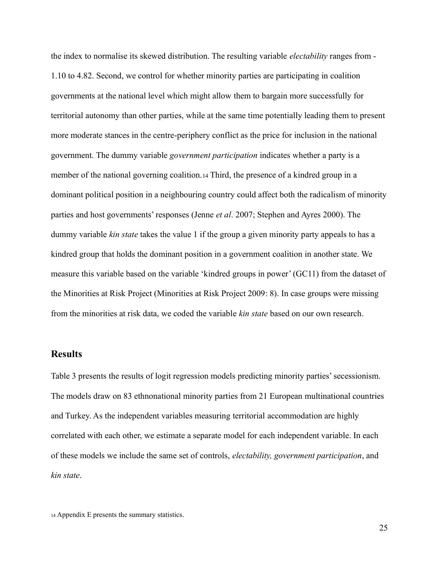the index to normalise its skewed distribution. The resulting variable *electability* ranges from - 1.10 to 4.82. Second, we control for whether minority parties are participating in coalition governments at the national level which might allow them to bargain more successfully for territorial autonomy than other parties, while at the same time potentially leading them to present more moderate stances in the centre-periphery conflict as the price for inclusion in the national government. The dummy variable *government participation* indicates whether a party is a member of the national governing coalition.<sup>14</sup> Third, the presence of a kindred group in a dominant political position in a neighbouring country could affect both the radicalism of minority parties and host governments' responses (Jenne *et al*. 2007; Stephen and Ayres 2000). The dummy variable *kin state* takes the value 1 if the group a given minority party appeals to has a kindred group that holds the dominant position in a government coalition in another state. We measure this variable based on the variable 'kindred groups in power' (GC11) from the dataset of the Minorities at Risk Project (Minorities at Risk Project 2009: 8). In case groups were missing from the minorities at risk data, we coded the variable *kin state* based on our own research.

## **Results**

Table 3 presents the results of logit regression models predicting minority parties' secessionism. The models draw on 83 ethnonational minority parties from 21 European multinational countries and Turkey. As the independent variables measuring territorial accommodation are highly correlated with each other, we estimate a separate model for each independent variable. In each of these models we include the same set of controls, *electability, government participation*, and *kin state*.

<sup>14</sup> Appendix E presents the summary statistics.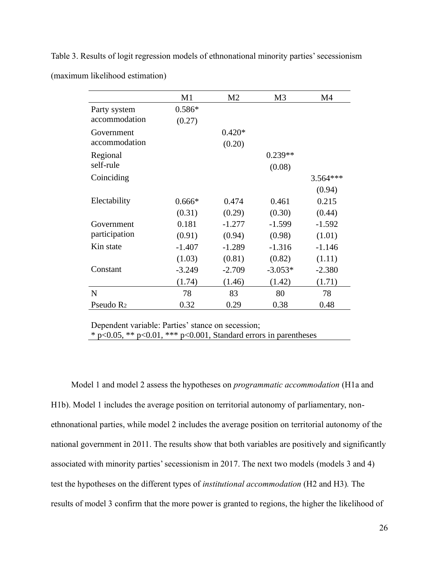Table 3. Results of logit regression models of ethnonational minority parties' secessionism (maximum likelihood estimation)

|                       | M1       | M <sub>2</sub> | M <sub>3</sub> | M4         |
|-----------------------|----------|----------------|----------------|------------|
| Party system          | $0.586*$ |                |                |            |
| accommodation         | (0.27)   |                |                |            |
| Government            |          | $0.420*$       |                |            |
| accommodation         |          | (0.20)         |                |            |
| Regional              |          |                | $0.239**$      |            |
| self-rule             |          |                | (0.08)         |            |
| Coinciding            |          |                |                | $3.564***$ |
|                       |          |                |                | (0.94)     |
| Electability          | $0.666*$ | 0.474          | 0.461          | 0.215      |
|                       | (0.31)   | (0.29)         | (0.30)         | (0.44)     |
| Government            | 0.181    | $-1.277$       | $-1.599$       | $-1.592$   |
| participation         | (0.91)   | (0.94)         | (0.98)         | (1.01)     |
| Kin state             | $-1.407$ | $-1.289$       | $-1.316$       | $-1.146$   |
|                       | (1.03)   | (0.81)         | (0.82)         | (1.11)     |
| Constant              | $-3.249$ | $-2.709$       | $-3.053*$      | $-2.380$   |
|                       | (1.74)   | (1.46)         | (1.42)         | (1.71)     |
| N                     | 78       | 83             | 80             | 78         |
| Pseudo R <sub>2</sub> | 0.32     | 0.29           | 0.38           | 0.48       |

Dependent variable: Parties' stance on secession; \* p<0.05, \*\* p<0.01, \*\*\* p<0.001, Standard errors in parentheses

Model 1 and model 2 assess the hypotheses on *programmatic accommodation* (H1a and H1b). Model 1 includes the average position on territorial autonomy of parliamentary, nonethnonational parties, while model 2 includes the average position on territorial autonomy of the national government in 2011. The results show that both variables are positively and significantly associated with minority parties' secessionism in 2017. The next two models (models 3 and 4) test the hypotheses on the different types of *institutional accommodation* (H2 and H3)*.* The results of model 3 confirm that the more power is granted to regions, the higher the likelihood of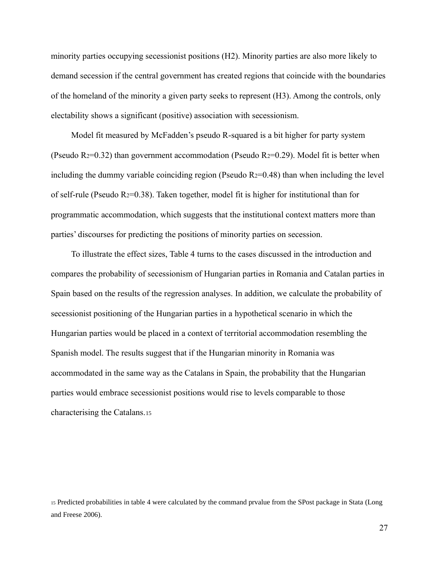minority parties occupying secessionist positions (H2). Minority parties are also more likely to demand secession if the central government has created regions that coincide with the boundaries of the homeland of the minority a given party seeks to represent (H3). Among the controls, only electability shows a significant (positive) association with secessionism.

Model fit measured by McFadden's pseudo R-squared is a bit higher for party system (Pseudo R<sub>2</sub>=0.32) than government accommodation (Pseudo R<sub>2</sub>=0.29). Model fit is better when including the dummy variable coinciding region (Pseudo  $R<sub>2</sub>=0.48$ ) than when including the level of self-rule (Pseudo R $2=0.38$ ). Taken together, model fit is higher for institutional than for programmatic accommodation, which suggests that the institutional context matters more than parties' discourses for predicting the positions of minority parties on secession.

To illustrate the effect sizes, Table 4 turns to the cases discussed in the introduction and compares the probability of secessionism of Hungarian parties in Romania and Catalan parties in Spain based on the results of the regression analyses. In addition, we calculate the probability of secessionist positioning of the Hungarian parties in a hypothetical scenario in which the Hungarian parties would be placed in a context of territorial accommodation resembling the Spanish model. The results suggest that if the Hungarian minority in Romania was accommodated in the same way as the Catalans in Spain, the probability that the Hungarian parties would embrace secessionist positions would rise to levels comparable to those characterising the Catalans.<sup>15</sup>

<sup>15</sup> Predicted probabilities in table 4 were calculated by the command prvalue from the SPost package in Stata (Long and Freese 2006).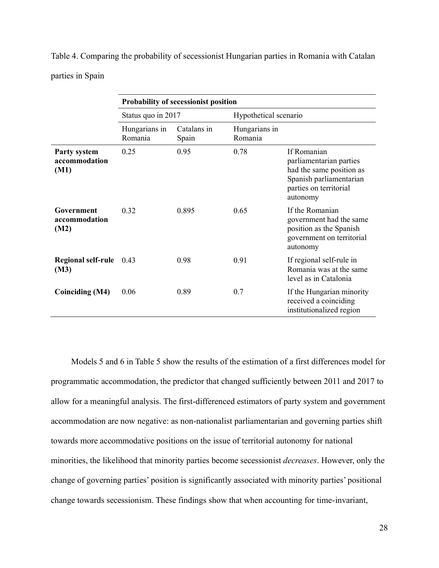Table 4. Comparing the probability of secessionist Hungarian parties in Romania with Catalan parties in Spain

|                                              | <b>Probability of secessionist position</b> |                      |                          |                                                                                                                                     |  |
|----------------------------------------------|---------------------------------------------|----------------------|--------------------------|-------------------------------------------------------------------------------------------------------------------------------------|--|
|                                              | Status quo in 2017                          |                      | Hypothetical scenario    |                                                                                                                                     |  |
|                                              | Hungarians in<br>Romania                    | Catalans in<br>Spain | Hungarians in<br>Romania |                                                                                                                                     |  |
| <b>Party system</b><br>accommodation<br>(M1) | 0.25                                        | 0.95                 | 0.78                     | If Romanian<br>parliamentarian parties<br>had the same position as<br>Spanish parliamentarian<br>parties on territorial<br>autonomy |  |
| Government<br>accommodation<br>(M2)          | 0.32                                        | 0.895                | 0.65                     | If the Romanian<br>government had the same<br>position as the Spanish<br>government on territorial<br>autonomy                      |  |
| <b>Regional self-rule</b><br>(M3)            | 0.43                                        | 0.98                 | 0.91                     | If regional self-rule in<br>Romania was at the same<br>level as in Catalonia                                                        |  |
| Coinciding (M4)                              | 0.06                                        | 0.89                 | 0.7                      | If the Hungarian minority<br>received a coinciding<br>institutionalized region                                                      |  |

Models 5 and 6 in Table 5 show the results of the estimation of a first differences model for programmatic accommodation, the predictor that changed sufficiently between 2011 and 2017 to allow for a meaningful analysis. The first-differenced estimators of party system and government accommodation are now negative: as non-nationalist parliamentarian and governing parties shift towards more accommodative positions on the issue of territorial autonomy for national minorities, the likelihood that minority parties become secessionist *decreases*. However, only the change of governing parties' position is significantly associated with minority parties' positional change towards secessionism. These findings show that when accounting for time-invariant,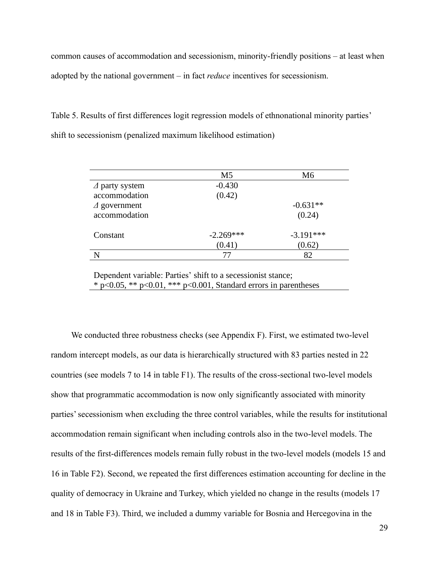common causes of accommodation and secessionism, minority-friendly positions – at least when adopted by the national government – in fact *reduce* incentives for secessionism.

Table 5. Results of first differences logit regression models of ethnonational minority parties' shift to secessionism (penalized maximum likelihood estimation)

|                        | M <sub>5</sub> | M <sub>6</sub> |
|------------------------|----------------|----------------|
| $\Delta$ party system  | $-0.430$       |                |
| accommodation          | (0.42)         |                |
| $\triangle$ government |                | $-0.631**$     |
| accommodation          |                | (0.24)         |
| Constant               | $-2.269***$    | $-3.191***$    |
|                        | (0.41)         | (0.62)         |
|                        | 77             | 82             |

Dependent variable: Parties' shift to a secessionist stance; \* p<0.05, \*\* p<0.01, \*\*\* p<0.001, Standard errors in parentheses

We conducted three robustness checks (see Appendix F). First, we estimated two-level random intercept models, as our data is hierarchically structured with 83 parties nested in 22 countries (see models 7 to 14 in table F1). The results of the cross-sectional two-level models show that programmatic accommodation is now only significantly associated with minority parties' secessionism when excluding the three control variables, while the results for institutional accommodation remain significant when including controls also in the two-level models. The results of the first-differences models remain fully robust in the two-level models (models 15 and 16 in Table F2). Second, we repeated the first differences estimation accounting for decline in the quality of democracy in Ukraine and Turkey, which yielded no change in the results (models 17 and 18 in Table F3). Third, we included a dummy variable for Bosnia and Hercegovina in the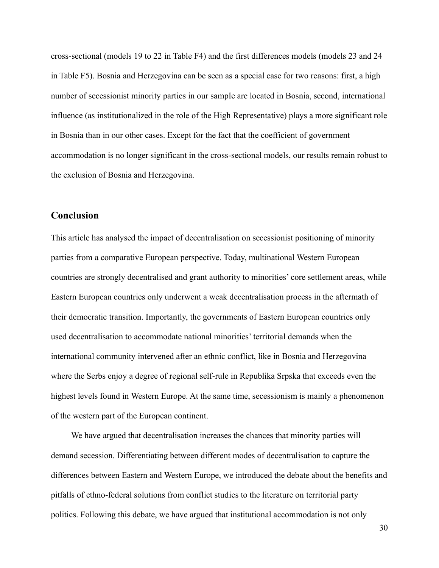cross-sectional (models 19 to 22 in Table F4) and the first differences models (models 23 and 24 in Table F5). Bosnia and Herzegovina can be seen as a special case for two reasons: first, a high number of secessionist minority parties in our sample are located in Bosnia, second, international influence (as institutionalized in the role of the High Representative) plays a more significant role in Bosnia than in our other cases. Except for the fact that the coefficient of government accommodation is no longer significant in the cross-sectional models, our results remain robust to the exclusion of Bosnia and Herzegovina.

## **Conclusion**

This article has analysed the impact of decentralisation on secessionist positioning of minority parties from a comparative European perspective. Today, multinational Western European countries are strongly decentralised and grant authority to minorities' core settlement areas, while Eastern European countries only underwent a weak decentralisation process in the aftermath of their democratic transition. Importantly, the governments of Eastern European countries only used decentralisation to accommodate national minorities' territorial demands when the international community intervened after an ethnic conflict, like in Bosnia and Herzegovina where the Serbs enjoy a degree of regional self-rule in Republika Srpska that exceeds even the highest levels found in Western Europe. At the same time, secessionism is mainly a phenomenon of the western part of the European continent.

We have argued that decentralisation increases the chances that minority parties will demand secession. Differentiating between different modes of decentralisation to capture the differences between Eastern and Western Europe, we introduced the debate about the benefits and pitfalls of ethno-federal solutions from conflict studies to the literature on territorial party politics. Following this debate, we have argued that institutional accommodation is not only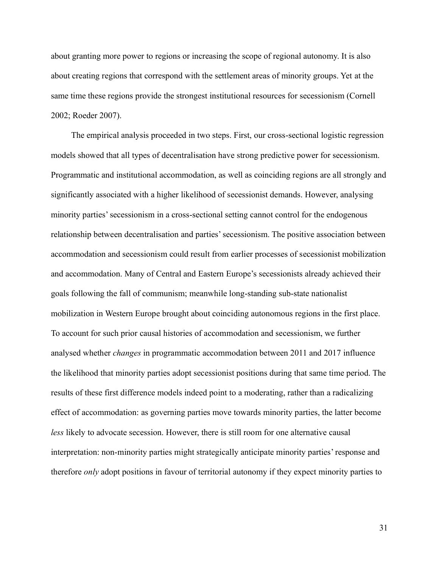about granting more power to regions or increasing the scope of regional autonomy. It is also about creating regions that correspond with the settlement areas of minority groups. Yet at the same time these regions provide the strongest institutional resources for secessionism (Cornell 2002; Roeder 2007).

The empirical analysis proceeded in two steps. First, our cross-sectional logistic regression models showed that all types of decentralisation have strong predictive power for secessionism. Programmatic and institutional accommodation, as well as coinciding regions are all strongly and significantly associated with a higher likelihood of secessionist demands. However, analysing minority parties' secessionism in a cross-sectional setting cannot control for the endogenous relationship between decentralisation and parties' secessionism. The positive association between accommodation and secessionism could result from earlier processes of secessionist mobilization and accommodation. Many of Central and Eastern Europe's secessionists already achieved their goals following the fall of communism; meanwhile long-standing sub-state nationalist mobilization in Western Europe brought about coinciding autonomous regions in the first place. To account for such prior causal histories of accommodation and secessionism, we further analysed whether *changes* in programmatic accommodation between 2011 and 2017 influence the likelihood that minority parties adopt secessionist positions during that same time period. The results of these first difference models indeed point to a moderating, rather than a radicalizing effect of accommodation: as governing parties move towards minority parties, the latter become *less* likely to advocate secession. However, there is still room for one alternative causal interpretation: non-minority parties might strategically anticipate minority parties' response and therefore *only* adopt positions in favour of territorial autonomy if they expect minority parties to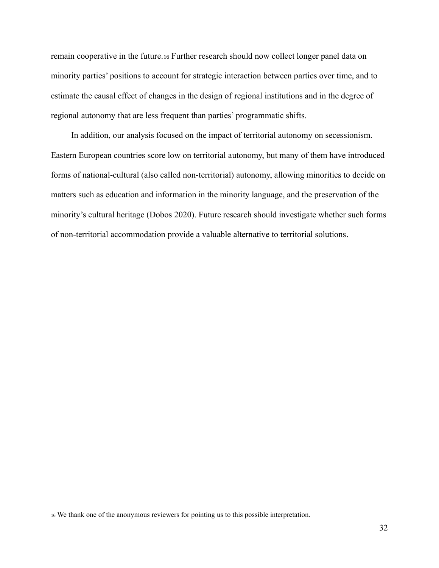remain cooperative in the future.<sup>16</sup> Further research should now collect longer panel data on minority parties' positions to account for strategic interaction between parties over time, and to estimate the causal effect of changes in the design of regional institutions and in the degree of regional autonomy that are less frequent than parties' programmatic shifts.

In addition, our analysis focused on the impact of territorial autonomy on secessionism. Eastern European countries score low on territorial autonomy, but many of them have introduced forms of national-cultural (also called non-territorial) autonomy, allowing minorities to decide on matters such as education and information in the minority language, and the preservation of the minority's cultural heritage (Dobos 2020). Future research should investigate whether such forms of non-territorial accommodation provide a valuable alternative to territorial solutions.

<sup>16</sup> We thank one of the anonymous reviewers for pointing us to this possible interpretation.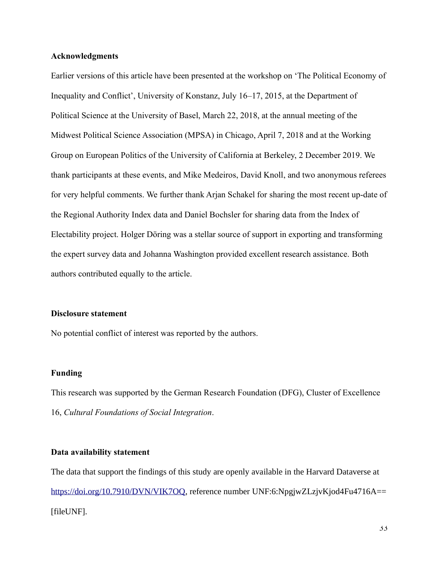#### **Acknowledgments**

Earlier versions of this article have been presented at the workshop on 'The Political Economy of Inequality and Conflict', University of Konstanz, July 16–17, 2015, at the Department of Political Science at the University of Basel, March 22, 2018, at the annual meeting of the Midwest Political Science Association (MPSA) in Chicago, April 7, 2018 and at the Working Group on European Politics of the University of California at Berkeley, 2 December 2019. We thank participants at these events, and Mike Medeiros, David Knoll, and two anonymous referees for very helpful comments. We further thank Arjan Schakel for sharing the most recent up-date of the Regional Authority Index data and Daniel Bochsler for sharing data from the Index of Electability project. Holger Döring was a stellar source of support in exporting and transforming the expert survey data and Johanna Washington provided excellent research assistance. Both authors contributed equally to the article.

#### **Disclosure statement**

No potential conflict of interest was reported by the authors.

#### **Funding**

This research was supported by the German Research Foundation (DFG), Cluster of Excellence 16, *Cultural Foundations of Social Integration*.

#### **Data availability statement**

The data that support the findings of this study are openly available in the Harvard Dataverse at [https://doi.org/10.7910/DVN/VIK7OQ,](https://doi.org/10.7910/DVN/VIK7OQ) reference number UNF:6:NpgjwZLzjvKjod4Fu4716A== [fileUNF].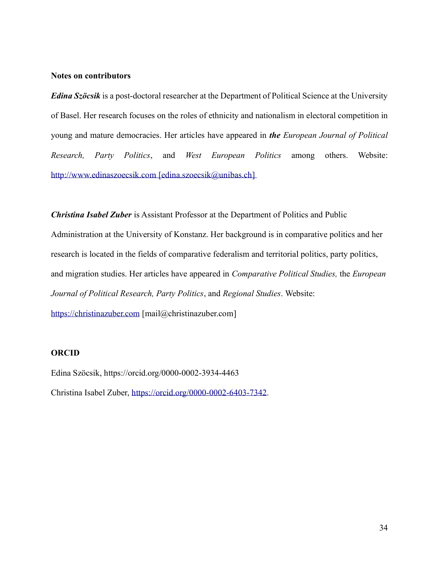#### **Notes on contributors**

*Edina Szöcsik* is a post-doctoral researcher at the Department of Political Science at the University of Basel. Her research focuses on the roles of ethnicity and nationalism in electoral competition in young and mature democracies. Her articles have appeared in *the European Journal of Political Research, Party Politics*, and *West European Politics* among others. Website: [http://www.edinaszoecsik.com](http://www.edinaszoecsik.com/) [edina.szoecsik@unibas.ch]

*Christina Isabel Zuber* is Assistant Professor at the Department of Politics and Public Administration at the University of Konstanz. Her background is in comparative politics and her research is located in the fields of comparative federalism and territorial politics, party politics, and migration studies. Her articles have appeared in *Comparative Political Studies,* the *European Journal of Political Research, Party Politics*, and *Regional Studies*. Website:

[https://christinazuber.com](https://christinazuber.com/) [mail@christinazuber.com]

### **ORCID**

Edina Szöcsik, https://orcid.org/0000-0002-3934-4463 Christina Isabel Zuber, [https://orcid.org/0000-0002-6403-7342.](https://orcid.org/0000-0002-6403-7342)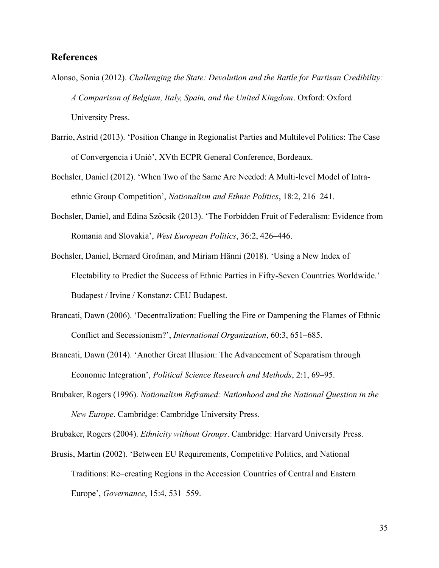# **References**

- Alonso, Sonia (2012). *Challenging the State: Devolution and the Battle for Partisan Credibility: A Comparison of Belgium, Italy, Spain, and the United Kingdom*. Oxford: Oxford University Press.
- Barrio, Astrid (2013). 'Position Change in Regionalist Parties and Multilevel Politics: The Case of Convergencia i Unió', XVth ECPR General Conference, Bordeaux.
- Bochsler, Daniel (2012). 'When Two of the Same Are Needed: A Multi-level Model of Intraethnic Group Competition', *Nationalism and Ethnic Politics*, 18:2, 216–241.
- Bochsler, Daniel, and Edina Szöcsik (2013). 'The Forbidden Fruit of Federalism: Evidence from Romania and Slovakia', *West European Politics*, 36:2, 426–446.
- Bochsler, Daniel, Bernard Grofman, and Miriam Hänni (2018). 'Using a New Index of Electability to Predict the Success of Ethnic Parties in Fifty-Seven Countries Worldwide.' Budapest / Irvine / Konstanz: CEU Budapest.
- Brancati, Dawn (2006). 'Decentralization: Fuelling the Fire or Dampening the Flames of Ethnic Conflict and Secessionism?', *International Organization*, 60:3, 651–685.
- Brancati, Dawn (2014). 'Another Great Illusion: The Advancement of Separatism through Economic Integration', *Political Science Research and Methods*, 2:1, 69–95.
- Brubaker, Rogers (1996). *Nationalism Reframed: Nationhood and the National Question in the New Europe*. Cambridge: Cambridge University Press.

Brubaker, Rogers (2004). *Ethnicity without Groups*. Cambridge: Harvard University Press.

Brusis, Martin (2002). 'Between EU Requirements, Competitive Politics, and National Traditions: Re–creating Regions in the Accession Countries of Central and Eastern Europe', *Governance*, 15:4, 531–559.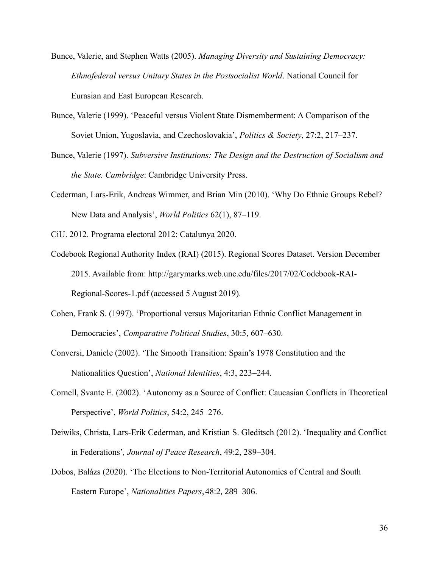- Bunce, Valerie, and Stephen Watts (2005). *Managing Diversity and Sustaining Democracy: Ethnofederal versus Unitary States in the Postsocialist World*. National Council for Eurasian and East European Research.
- Bunce, Valerie (1999). 'Peaceful versus Violent State Dismemberment: A Comparison of the Soviet Union, Yugoslavia, and Czechoslovakia', *Politics & Society*, 27:2, 217–237.
- Bunce, Valerie (1997). *Subversive Institutions: The Design and the Destruction of Socialism and the State. Cambridge*: Cambridge University Press.
- Cederman, Lars-Erik, Andreas Wimmer, and Brian Min (2010). 'Why Do Ethnic Groups Rebel? New Data and Analysis', *World Politics* 62(1), 87–119.

CiU. 2012. Programa electoral 2012: Catalunya 2020.

- Codebook Regional Authority Index (RAI) (2015). Regional Scores Dataset. Version December 2015. Available from: http://garymarks.web.unc.edu/files/2017/02/Codebook-RAI-Regional-Scores-1.pdf (accessed 5 August 2019).
- Cohen, Frank S. (1997). 'Proportional versus Majoritarian Ethnic Conflict Management in Democracies', *Comparative Political Studies*, 30:5, 607–630.
- Conversi, Daniele (2002). 'The Smooth Transition: Spain's 1978 Constitution and the Nationalities Question', *National Identities*, 4:3, 223–244.
- Cornell, Svante E. (2002). 'Autonomy as a Source of Conflict: Caucasian Conflicts in Theoretical Perspective', *World Politics*, 54:2, 245–276.
- Deiwiks, Christa, Lars-Erik Cederman, and Kristian S. Gleditsch (2012). 'Inequality and Conflict in Federations'*, Journal of Peace Research*, 49:2, 289–304.
- Dobos, Balázs (2020). 'The Elections to Non-Territorial Autonomies of Central and South Eastern Europe', *Nationalities Papers*,48:2, 289–306.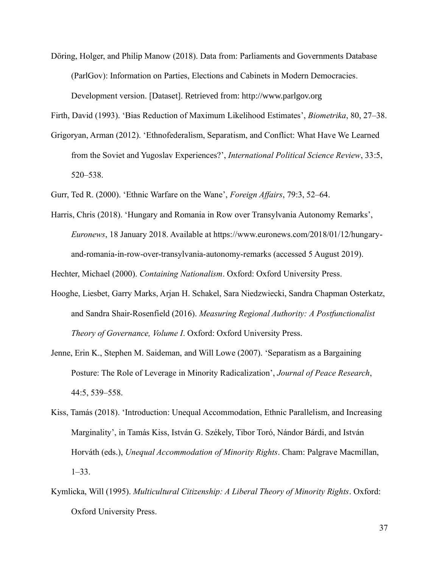Döring, Holger, and Philip Manow (2018). Data from: Parliaments and Governments Database (ParlGov): Information on Parties, Elections and Cabinets in Modern Democracies. Development version. [Dataset]. Retrieved from: http://www.parlgov.org

Firth, David (1993). 'Bias Reduction of Maximum Likelihood Estimates', *Biometrika*, 80, 27–38.

Grigoryan, Arman (2012). 'Ethnofederalism, Separatism, and Conflict: What Have We Learned from the Soviet and Yugoslav Experiences?', *International Political Science Review*, 33:5, 520–538.

Gurr, Ted R. (2000). 'Ethnic Warfare on the Wane', *Foreign Affairs*, 79:3, 52–64.

Harris, Chris (2018). 'Hungary and Romania in Row over Transylvania Autonomy Remarks', *Euronews*, 18 January 2018. Available at https://www.euronews.com/2018/01/12/hungaryand-romania-in-row-over-transylvania-autonomy-remarks (accessed 5 August 2019).

Hechter, Michael (2000). *Containing Nationalism*. Oxford: Oxford University Press.

- Hooghe, Liesbet, Garry Marks, Arjan H. Schakel, Sara Niedzwiecki, Sandra Chapman Osterkatz, and Sandra Shair-Rosenfield (2016). *Measuring Regional Authority: A Postfunctionalist Theory of Governance, Volume I*. Oxford: Oxford University Press.
- Jenne, Erin K., Stephen M. Saideman, and Will Lowe (2007). 'Separatism as a Bargaining Posture: The Role of Leverage in Minority Radicalization', *Journal of Peace Research*, 44:5, 539–558.
- Kiss, Tamás (2018). 'Introduction: Unequal Accommodation, Ethnic Parallelism, and Increasing Marginality', in Tamás Kiss, István G. Székely, Tibor Toró, Nándor Bárdi, and István Horváth (eds.), *Unequal Accommodation of Minority Rights*. Cham: Palgrave Macmillan, 1–33.
- Kymlicka, Will (1995). *Multicultural Citizenship: A Liberal Theory of Minority Rights*. Oxford: Oxford University Press.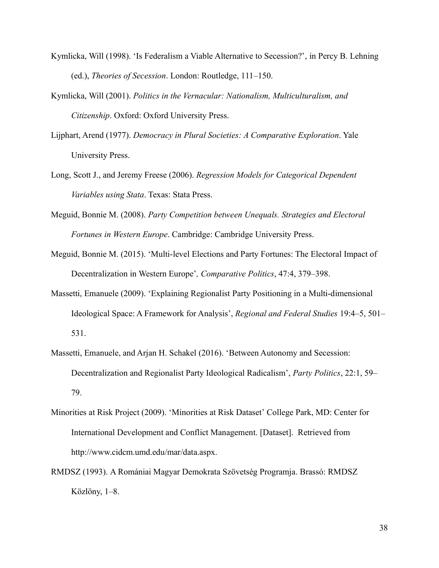- Kymlicka, Will (1998). 'Is Federalism a Viable Alternative to Secession?', in Percy B. Lehning (ed.), *Theories of Secession*. London: Routledge, 111–150.
- Kymlicka, Will (2001). *Politics in the Vernacular: Nationalism, Multiculturalism, and Citizenship*. Oxford: Oxford University Press.
- Lijphart, Arend (1977). *Democracy in Plural Societies: A Comparative Exploration*. Yale University Press.
- Long, Scott J., and Jeremy Freese (2006). *Regression Models for Categorical Dependent Variables using Stata*. Texas: Stata Press.
- Meguid, Bonnie M. (2008). *Party Competition between Unequals. Strategies and Electoral Fortunes in Western Europe*. Cambridge: Cambridge University Press.
- Meguid, Bonnie M. (2015). 'Multi-level Elections and Party Fortunes: The Electoral Impact of Decentralization in Western Europe'*, Comparative Politics*, 47:4, 379–398.
- Massetti, Emanuele (2009). 'Explaining Regionalist Party Positioning in a Multi-dimensional Ideological Space: A Framework for Analysis', *Regional and Federal Studies* 19:4–5, 501– 531.
- Massetti, Emanuele, and Arjan H. Schakel (2016). 'Between Autonomy and Secession: Decentralization and Regionalist Party Ideological Radicalism', *Party Politics*, 22:1, 59– 79.
- Minorities at Risk Project (2009). 'Minorities at Risk Dataset' College Park, MD: Center for International Development and Conflict Management. [Dataset]. Retrieved from http://www.cidcm.umd.edu/mar/data.aspx.
- RMDSZ (1993). A Romániai Magyar Demokrata Szövetség Programja. Brassó: RMDSZ Közlöny, 1–8.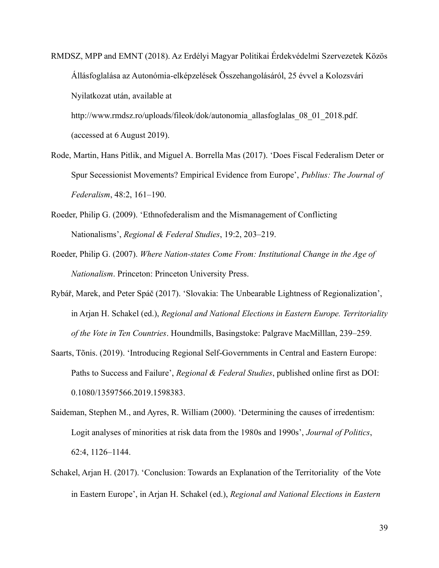RMDSZ, MPP and EMNT (2018). Az Erdélyi Magyar Politikai Érdekvédelmi Szervezetek Közös Állásfoglalása az Autonómia-elképzelések Összehangolásáról, 25 évvel a Kolozsvári Nyilatkozat után, available at

http://www.rmdsz.ro/uploads/fileok/dok/autonomia\_allasfoglalas\_08\_01\_2018.pdf. (accessed at 6 August 2019).

- Rode, Martin, Hans Pitlik, and Miguel A. Borrella Mas (2017). 'Does Fiscal Federalism Deter or Spur Secessionist Movements? Empirical Evidence from Europe', *Publius: The Journal of Federalism*, 48:2, 161–190.
- Roeder, Philip G. (2009). 'Ethnofederalism and the Mismanagement of Conflicting Nationalisms', *Regional & Federal Studies*, 19:2, 203–219.
- Roeder, Philip G. (2007). *Where Nation-states Come From: Institutional Change in the Age of Nationalism*. Princeton: Princeton University Press.
- Rybář, Marek, and Peter Spáč (2017). 'Slovakia: The Unbearable Lightness of Regionalization', in Arjan H. Schakel (ed.), *Regional and National Elections in Eastern Europe. Territoriality of the Vote in Ten Countries*. Houndmills, Basingstoke: Palgrave MacMilllan, 239–259.
- Saarts, Tõnis. (2019). 'Introducing Regional Self-Governments in Central and Eastern Europe: Paths to Success and Failure', *Regional & Federal Studies*, published online first as DOI: 0.1080/13597566.2019.1598383.
- Saideman, Stephen M., and Ayres, R. William (2000). 'Determining the causes of irredentism: Logit analyses of minorities at risk data from the 1980s and 1990s', *Journal of Politics*, 62:4, 1126–1144.
- Schakel, Arjan H. (2017). 'Conclusion: Towards an Explanation of the Territoriality of the Vote in Eastern Europe', in Arjan H. Schakel (ed.), *Regional and National Elections in Eastern*